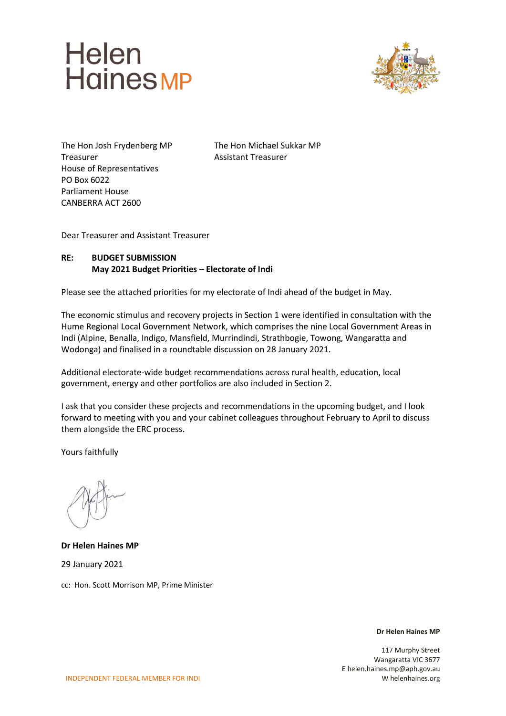



The Hon Josh Frydenberg MP The Hon Michael Sukkar MP Treasurer **Assistant Treasurer** House of Representatives PO Box 6022 Parliament House CANBERRA ACT 2600

Dear Treasurer and Assistant Treasurer

#### **RE: BUDGET SUBMISSION May 2021 Budget Priorities – Electorate of Indi**

Please see the attached priorities for my electorate of Indi ahead of the budget in May.

The economic stimulus and recovery projects in Section 1 were identified in consultation with the Hume Regional Local Government Network, which comprises the nine Local Government Areas in Indi (Alpine, Benalla, Indigo, Mansfield, Murrindindi, Strathbogie, Towong, Wangaratta and Wodonga) and finalised in a roundtable discussion on 28 January 2021.

Additional electorate-wide budget recommendations across rural health, education, local government, energy and other portfolios are also included in Section 2.

I ask that you consider these projects and recommendations in the upcoming budget, and I look forward to meeting with you and your cabinet colleagues throughout February to April to discuss them alongside the ERC process.

Yours faithfully

**Dr Helen Haines MP** 29 January 2021 cc: Hon. Scott Morrison MP, Prime Minister

**Dr Helen Haines MP**

117 Murphy Street Wangaratta VIC 3677 E helen.haines.mp@aph.gov.au W helenhaines.org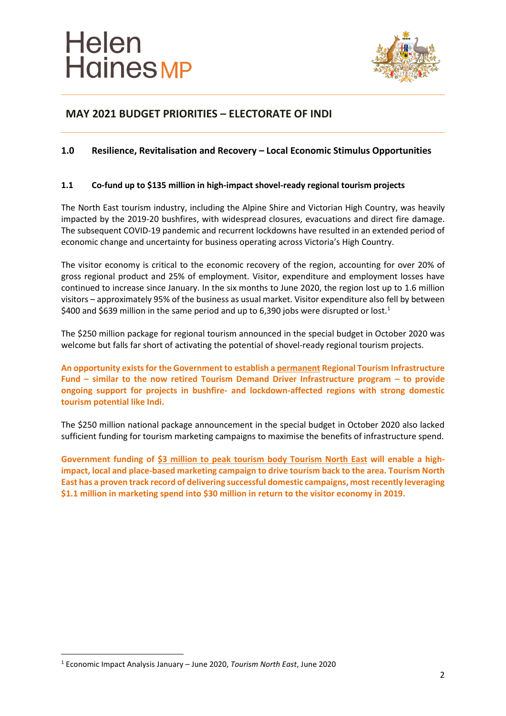

#### **1.0 Resilience, Revitalisation and Recovery – Local Economic Stimulus Opportunities**

#### **1.1 Co-fund up to \$135 million in high-impact shovel-ready regional tourism projects**

The North East tourism industry, including the Alpine Shire and Victorian High Country, was heavily impacted by the 2019-20 bushfires, with widespread closures, evacuations and direct fire damage. The subsequent COVID-19 pandemic and recurrent lockdowns have resulted in an extended period of economic change and uncertainty for business operating across Victoria's High Country.

The visitor economy is critical to the economic recovery of the region, accounting for over 20% of gross regional product and 25% of employment. Visitor, expenditure and employment losses have continued to increase since January. In the six months to June 2020, the region lost up to 1.6 million visitors – approximately 95% of the business as usual market. Visitor expenditure also fell by between \$400 and \$639 million in the same period and up to 6,390 jobs were disrupted or lost.<sup>1</sup>

The \$250 million package for regional tourism announced in the special budget in October 2020 was welcome but falls far short of activating the potential of shovel-ready regional tourism projects.

**An opportunity exists for the Government to establish a permanent Regional Tourism Infrastructure Fund – similar to the now retired Tourism Demand Driver Infrastructure program – to provide ongoing support for projects in bushfire- and lockdown-affected regions with strong domestic tourism potential like Indi.**

The \$250 million national package announcement in the special budget in October 2020 also lacked sufficient funding for tourism marketing campaigns to maximise the benefits of infrastructure spend.

**Government funding of \$3 million to peak tourism body Tourism North East will enable a highimpact, local and place-based marketing campaign to drive tourism back to the area. Tourism North East has a proven track record of delivering successful domestic campaigns, most recently leveraging \$1.1 million in marketing spend into \$30 million in return to the visitor economy in 2019.**

<sup>1</sup> Economic Impact Analysis January – June 2020, *Tourism North East*, June 2020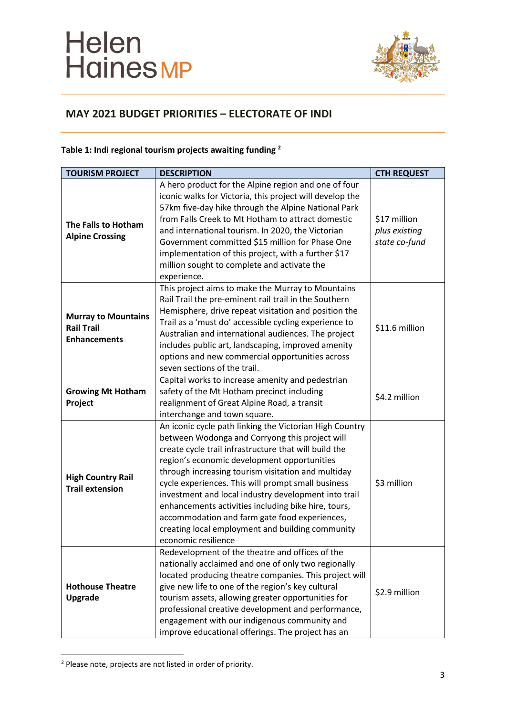

### **Table 1: Indi regional tourism projects awaiting funding <sup>2</sup>**

| <b>TOURISM PROJECT</b>                                                 | <b>DESCRIPTION</b>                                                                                                                                                                                                                                                                                                                                                                                                                                                                                                                                                       | <b>CTH REQUEST</b>                             |
|------------------------------------------------------------------------|--------------------------------------------------------------------------------------------------------------------------------------------------------------------------------------------------------------------------------------------------------------------------------------------------------------------------------------------------------------------------------------------------------------------------------------------------------------------------------------------------------------------------------------------------------------------------|------------------------------------------------|
| The Falls to Hotham<br><b>Alpine Crossing</b>                          | A hero product for the Alpine region and one of four<br>iconic walks for Victoria, this project will develop the<br>57km five-day hike through the Alpine National Park<br>from Falls Creek to Mt Hotham to attract domestic<br>and international tourism. In 2020, the Victorian<br>Government committed \$15 million for Phase One<br>implementation of this project, with a further \$17<br>million sought to complete and activate the<br>experience.                                                                                                                | \$17 million<br>plus existing<br>state co-fund |
| <b>Murray to Mountains</b><br><b>Rail Trail</b><br><b>Enhancements</b> | This project aims to make the Murray to Mountains<br>Rail Trail the pre-eminent rail trail in the Southern<br>Hemisphere, drive repeat visitation and position the<br>Trail as a 'must do' accessible cycling experience to<br>Australian and international audiences. The project<br>includes public art, landscaping, improved amenity<br>options and new commercial opportunities across<br>seven sections of the trail.                                                                                                                                              | \$11.6 million                                 |
| <b>Growing Mt Hotham</b><br>Project                                    | Capital works to increase amenity and pedestrian<br>safety of the Mt Hotham precinct including<br>realignment of Great Alpine Road, a transit<br>interchange and town square.                                                                                                                                                                                                                                                                                                                                                                                            | \$4.2 million                                  |
| <b>High Country Rail</b><br><b>Trail extension</b>                     | An iconic cycle path linking the Victorian High Country<br>between Wodonga and Corryong this project will<br>create cycle trail infrastructure that will build the<br>region's economic development opportunities<br>through increasing tourism visitation and multiday<br>cycle experiences. This will prompt small business<br>investment and local industry development into trail<br>enhancements activities including bike hire, tours,<br>accommodation and farm gate food experiences,<br>creating local employment and building community<br>economic resilience | \$3 million                                    |
| <b>Hothouse Theatre</b><br><b>Upgrade</b>                              | Redevelopment of the theatre and offices of the<br>nationally acclaimed and one of only two regionally<br>located producing theatre companies. This project will<br>give new life to one of the region's key cultural<br>tourism assets, allowing greater opportunities for<br>professional creative development and performance,<br>engagement with our indigenous community and<br>improve educational offerings. The project has an                                                                                                                                   | \$2.9 million                                  |

<sup>2</sup> Please note, projects are not listed in order of priority.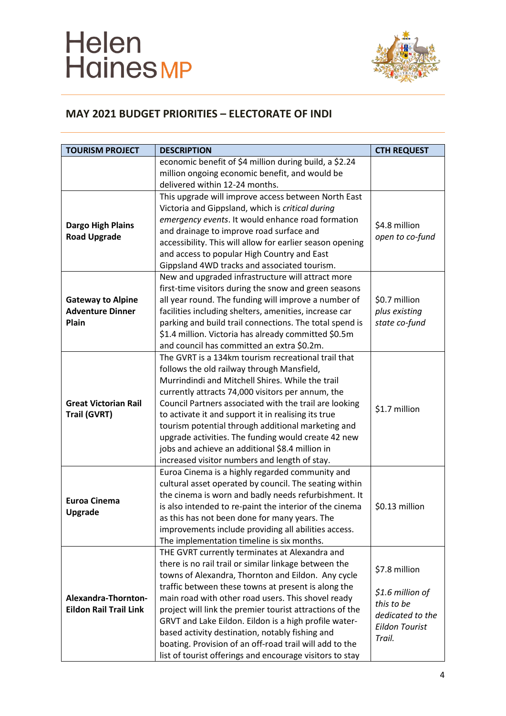

| <b>TOURISM PROJECT</b>                                       | <b>DESCRIPTION</b>                                                                                                                                                                                                                                                                                                                                                                                                                                                                                                                                                        | <b>CTH REQUEST</b>                                                                                     |
|--------------------------------------------------------------|---------------------------------------------------------------------------------------------------------------------------------------------------------------------------------------------------------------------------------------------------------------------------------------------------------------------------------------------------------------------------------------------------------------------------------------------------------------------------------------------------------------------------------------------------------------------------|--------------------------------------------------------------------------------------------------------|
|                                                              | economic benefit of \$4 million during build, a \$2.24<br>million ongoing economic benefit, and would be<br>delivered within 12-24 months.                                                                                                                                                                                                                                                                                                                                                                                                                                |                                                                                                        |
| <b>Dargo High Plains</b><br><b>Road Upgrade</b>              | This upgrade will improve access between North East<br>Victoria and Gippsland, which is critical during<br>emergency events. It would enhance road formation<br>and drainage to improve road surface and<br>accessibility. This will allow for earlier season opening<br>and access to popular High Country and East<br>Gippsland 4WD tracks and associated tourism.                                                                                                                                                                                                      | \$4.8 million<br>open to co-fund                                                                       |
| <b>Gateway to Alpine</b><br><b>Adventure Dinner</b><br>Plain | New and upgraded infrastructure will attract more<br>first-time visitors during the snow and green seasons<br>all year round. The funding will improve a number of<br>facilities including shelters, amenities, increase car<br>parking and build trail connections. The total spend is<br>\$1.4 million. Victoria has already committed \$0.5m<br>and council has committed an extra \$0.2m.                                                                                                                                                                             | \$0.7 million<br>plus existing<br>state co-fund                                                        |
| <b>Great Victorian Rail</b><br>Trail (GVRT)                  | The GVRT is a 134km tourism recreational trail that<br>follows the old railway through Mansfield,<br>Murrindindi and Mitchell Shires. While the trail<br>currently attracts 74,000 visitors per annum, the<br>Council Partners associated with the trail are looking<br>to activate it and support it in realising its true<br>tourism potential through additional marketing and<br>upgrade activities. The funding would create 42 new<br>jobs and achieve an additional \$8.4 million in<br>increased visitor numbers and length of stay.                              | \$1.7 million                                                                                          |
| <b>Euroa Cinema</b><br>Upgrade                               | Euroa Cinema is a highly regarded community and<br>cultural asset operated by council. The seating within<br>the cinema is worn and badly needs refurbishment. It<br>is also intended to re-paint the interior of the cinema<br>as this has not been done for many years. The<br>improvements include providing all abilities access.<br>The implementation timeline is six months.                                                                                                                                                                                       | \$0.13 million                                                                                         |
| Alexandra-Thornton-<br><b>Eildon Rail Trail Link</b>         | THE GVRT currently terminates at Alexandra and<br>there is no rail trail or similar linkage between the<br>towns of Alexandra, Thornton and Eildon. Any cycle<br>traffic between these towns at present is along the<br>main road with other road users. This shovel ready<br>project will link the premier tourist attractions of the<br>GRVT and Lake Eildon. Eildon is a high profile water-<br>based activity destination, notably fishing and<br>boating. Provision of an off-road trail will add to the<br>list of tourist offerings and encourage visitors to stay | \$7.8 million<br>\$1.6 million of<br>this to be<br>dedicated to the<br><b>Eildon Tourist</b><br>Trail. |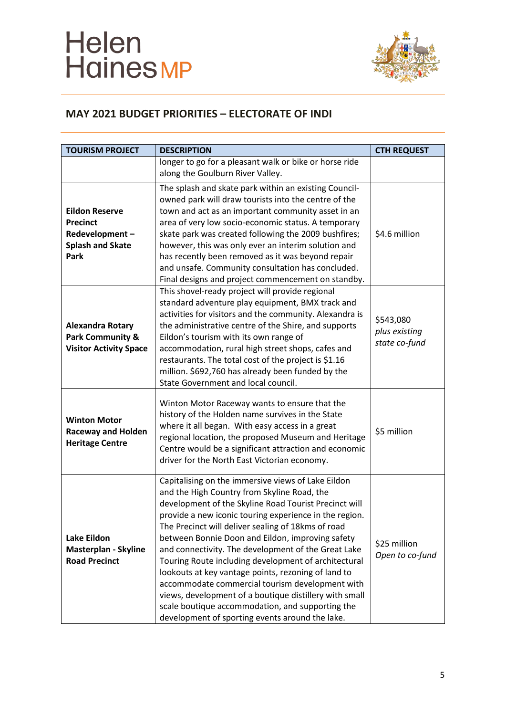

| <b>TOURISM PROJECT</b>                                                                               | <b>DESCRIPTION</b>                                                                                                                                                                                                                                                                                                                                                                                                                                                                                                                                                                                                                                                                                                       | <b>CTH REQUEST</b>                          |
|------------------------------------------------------------------------------------------------------|--------------------------------------------------------------------------------------------------------------------------------------------------------------------------------------------------------------------------------------------------------------------------------------------------------------------------------------------------------------------------------------------------------------------------------------------------------------------------------------------------------------------------------------------------------------------------------------------------------------------------------------------------------------------------------------------------------------------------|---------------------------------------------|
|                                                                                                      | longer to go for a pleasant walk or bike or horse ride<br>along the Goulburn River Valley.                                                                                                                                                                                                                                                                                                                                                                                                                                                                                                                                                                                                                               |                                             |
| <b>Eildon Reserve</b><br><b>Precinct</b><br>Redevelopment-<br><b>Splash and Skate</b><br><b>Park</b> | The splash and skate park within an existing Council-<br>owned park will draw tourists into the centre of the<br>town and act as an important community asset in an<br>area of very low socio-economic status. A temporary<br>skate park was created following the 2009 bushfires;<br>however, this was only ever an interim solution and<br>has recently been removed as it was beyond repair<br>and unsafe. Community consultation has concluded.<br>Final designs and project commencement on standby.                                                                                                                                                                                                                | \$4.6 million                               |
| <b>Alexandra Rotary</b><br><b>Park Community &amp;</b><br><b>Visitor Activity Space</b>              | This shovel-ready project will provide regional<br>standard adventure play equipment, BMX track and<br>activities for visitors and the community. Alexandra is<br>the administrative centre of the Shire, and supports<br>Eildon's tourism with its own range of<br>accommodation, rural high street shops, cafes and<br>restaurants. The total cost of the project is \$1.16<br>million. \$692,760 has already been funded by the<br>State Government and local council.                                                                                                                                                                                                                                                | \$543,080<br>plus existing<br>state co-fund |
| <b>Winton Motor</b><br><b>Raceway and Holden</b><br><b>Heritage Centre</b>                           | Winton Motor Raceway wants to ensure that the<br>history of the Holden name survives in the State<br>where it all began. With easy access in a great<br>regional location, the proposed Museum and Heritage<br>Centre would be a significant attraction and economic<br>driver for the North East Victorian economy.                                                                                                                                                                                                                                                                                                                                                                                                     | \$5 million                                 |
| <b>Lake Eildon</b><br>Masterplan - Skyline<br><b>Road Precinct</b>                                   | Capitalising on the immersive views of Lake Eildon<br>and the High Country from Skyline Road, the<br>development of the Skyline Road Tourist Precinct will<br>provide a new iconic touring experience in the region.<br>The Precinct will deliver sealing of 18kms of road<br>between Bonnie Doon and Eildon, improving safety<br>and connectivity. The development of the Great Lake<br>Touring Route including development of architectural<br>lookouts at key vantage points, rezoning of land to<br>accommodate commercial tourism development with<br>views, development of a boutique distillery with small<br>scale boutique accommodation, and supporting the<br>development of sporting events around the lake. | \$25 million<br>Open to co-fund             |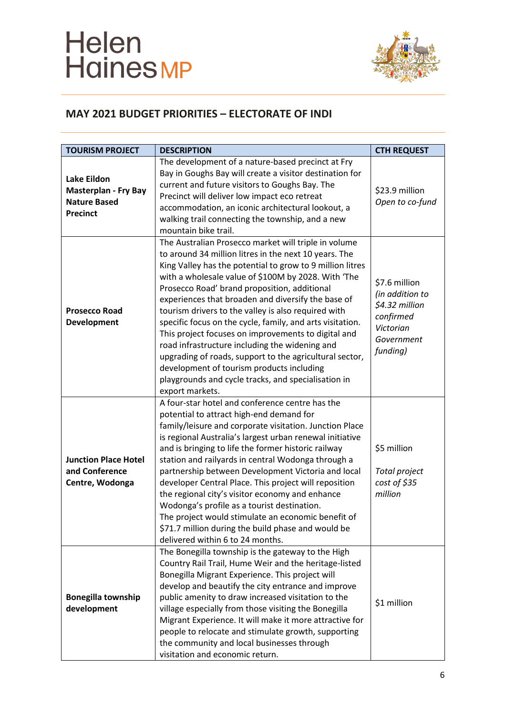

| <b>TOURISM PROJECT</b>                                                                      | <b>DESCRIPTION</b>                                                                                                                                                                                                                                                                                                                                                                                                                                                                                                                                                                                                                                                                                                                                     | <b>CTH REQUEST</b>                                                                                     |
|---------------------------------------------------------------------------------------------|--------------------------------------------------------------------------------------------------------------------------------------------------------------------------------------------------------------------------------------------------------------------------------------------------------------------------------------------------------------------------------------------------------------------------------------------------------------------------------------------------------------------------------------------------------------------------------------------------------------------------------------------------------------------------------------------------------------------------------------------------------|--------------------------------------------------------------------------------------------------------|
| <b>Lake Eildon</b><br><b>Masterplan - Fry Bay</b><br><b>Nature Based</b><br><b>Precinct</b> | The development of a nature-based precinct at Fry<br>Bay in Goughs Bay will create a visitor destination for<br>current and future visitors to Goughs Bay. The<br>Precinct will deliver low impact eco retreat<br>accommodation, an iconic architectural lookout, a<br>walking trail connecting the township, and a new<br>mountain bike trail.                                                                                                                                                                                                                                                                                                                                                                                                        | \$23.9 million<br>Open to co-fund                                                                      |
| <b>Prosecco Road</b><br><b>Development</b>                                                  | The Australian Prosecco market will triple in volume<br>to around 34 million litres in the next 10 years. The<br>King Valley has the potential to grow to 9 million litres<br>with a wholesale value of \$100M by 2028. With 'The<br>Prosecco Road' brand proposition, additional<br>experiences that broaden and diversify the base of<br>tourism drivers to the valley is also required with<br>specific focus on the cycle, family, and arts visitation.<br>This project focuses on improvements to digital and<br>road infrastructure including the widening and<br>upgrading of roads, support to the agricultural sector,<br>development of tourism products including<br>playgrounds and cycle tracks, and specialisation in<br>export markets. | \$7.6 million<br>(in addition to<br>\$4.32 million<br>confirmed<br>Victorian<br>Government<br>funding) |
| <b>Junction Place Hotel</b><br>and Conference<br>Centre, Wodonga                            | A four-star hotel and conference centre has the<br>potential to attract high-end demand for<br>family/leisure and corporate visitation. Junction Place<br>is regional Australia's largest urban renewal initiative<br>and is bringing to life the former historic railway<br>station and railyards in central Wodonga through a<br>partnership between Development Victoria and local<br>developer Central Place. This project will reposition<br>the regional city's visitor economy and enhance<br>Wodonga's profile as a tourist destination.<br>The project would stimulate an economic benefit of<br>\$71.7 million during the build phase and would be<br>delivered within 6 to 24 months.                                                       | \$5 million<br>Total project<br>cost of \$35<br>million                                                |
| <b>Bonegilla township</b><br>development                                                    | The Bonegilla township is the gateway to the High<br>Country Rail Trail, Hume Weir and the heritage-listed<br>Bonegilla Migrant Experience. This project will<br>develop and beautify the city entrance and improve<br>public amenity to draw increased visitation to the<br>village especially from those visiting the Bonegilla<br>Migrant Experience. It will make it more attractive for<br>people to relocate and stimulate growth, supporting<br>the community and local businesses through<br>visitation and economic return.                                                                                                                                                                                                                   | \$1 million                                                                                            |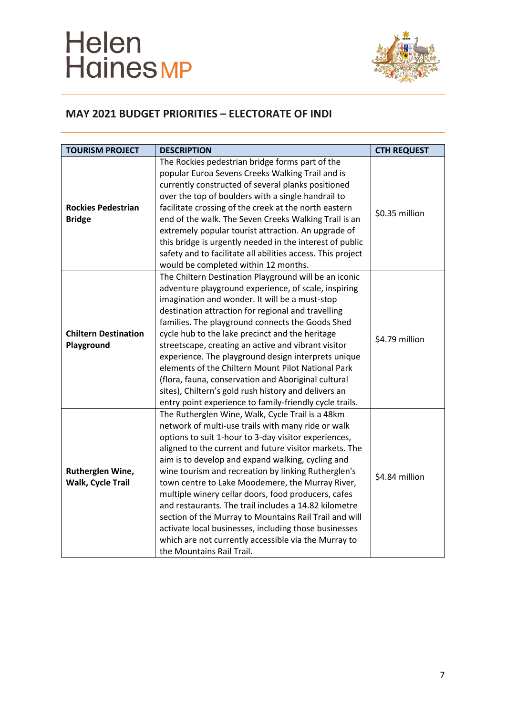

| <b>TOURISM PROJECT</b>                     | <b>DESCRIPTION</b>                                                                                                                                                                                                                                                                                                                                                                                                                                                                                                                                                                                                                                                                                               | <b>CTH REQUEST</b> |
|--------------------------------------------|------------------------------------------------------------------------------------------------------------------------------------------------------------------------------------------------------------------------------------------------------------------------------------------------------------------------------------------------------------------------------------------------------------------------------------------------------------------------------------------------------------------------------------------------------------------------------------------------------------------------------------------------------------------------------------------------------------------|--------------------|
| <b>Rockies Pedestrian</b><br><b>Bridge</b> | The Rockies pedestrian bridge forms part of the<br>popular Euroa Sevens Creeks Walking Trail and is<br>currently constructed of several planks positioned<br>over the top of boulders with a single handrail to<br>facilitate crossing of the creek at the north eastern<br>end of the walk. The Seven Creeks Walking Trail is an<br>extremely popular tourist attraction. An upgrade of<br>this bridge is urgently needed in the interest of public<br>safety and to facilitate all abilities access. This project<br>would be completed within 12 months.                                                                                                                                                      | \$0.35 million     |
| <b>Chiltern Destination</b><br>Playground  | The Chiltern Destination Playground will be an iconic<br>adventure playground experience, of scale, inspiring<br>imagination and wonder. It will be a must-stop<br>destination attraction for regional and travelling<br>families. The playground connects the Goods Shed<br>cycle hub to the lake precinct and the heritage<br>streetscape, creating an active and vibrant visitor<br>experience. The playground design interprets unique<br>elements of the Chiltern Mount Pilot National Park<br>(flora, fauna, conservation and Aboriginal cultural<br>sites), Chiltern's gold rush history and delivers an<br>entry point experience to family-friendly cycle trails.                                       | \$4.79 million     |
| Rutherglen Wine,<br>Walk, Cycle Trail      | The Rutherglen Wine, Walk, Cycle Trail is a 48km<br>network of multi-use trails with many ride or walk<br>options to suit 1-hour to 3-day visitor experiences,<br>aligned to the current and future visitor markets. The<br>aim is to develop and expand walking, cycling and<br>wine tourism and recreation by linking Rutherglen's<br>town centre to Lake Moodemere, the Murray River,<br>multiple winery cellar doors, food producers, cafes<br>and restaurants. The trail includes a 14.82 kilometre<br>section of the Murray to Mountains Rail Trail and will<br>activate local businesses, including those businesses<br>which are not currently accessible via the Murray to<br>the Mountains Rail Trail. | \$4.84 million     |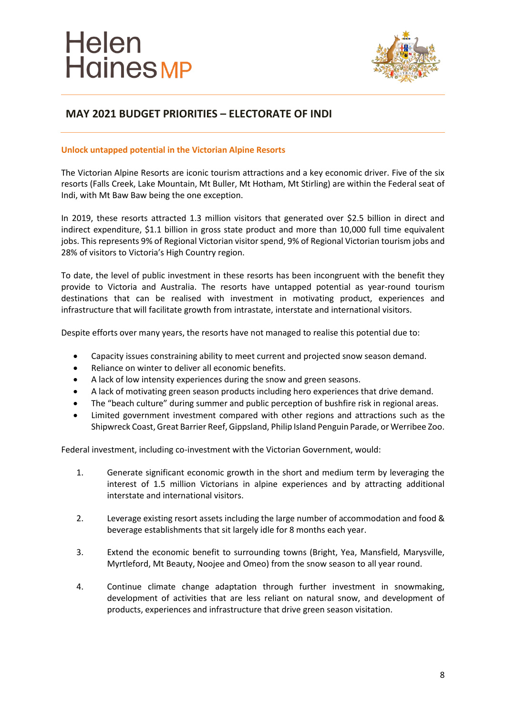

# **MAY 2021 BUDGET PRIORITIES – ELECTORATE OF INDI**

#### **Unlock untapped potential in the Victorian Alpine Resorts**

The Victorian Alpine Resorts are iconic tourism attractions and a key economic driver. Five of the six resorts (Falls Creek, Lake Mountain, Mt Buller, Mt Hotham, Mt Stirling) are within the Federal seat of Indi, with Mt Baw Baw being the one exception.

In 2019, these resorts attracted 1.3 million visitors that generated over \$2.5 billion in direct and indirect expenditure, \$1.1 billion in gross state product and more than 10,000 full time equivalent jobs. This represents 9% of Regional Victorian visitor spend, 9% of Regional Victorian tourism jobs and 28% of visitors to Victoria's High Country region.

To date, the level of public investment in these resorts has been incongruent with the benefit they provide to Victoria and Australia. The resorts have untapped potential as year-round tourism destinations that can be realised with investment in motivating product, experiences and infrastructure that will facilitate growth from intrastate, interstate and international visitors.

Despite efforts over many years, the resorts have not managed to realise this potential due to:

- Capacity issues constraining ability to meet current and projected snow season demand.
- Reliance on winter to deliver all economic benefits.
- A lack of low intensity experiences during the snow and green seasons.
- A lack of motivating green season products including hero experiences that drive demand.
- The "beach culture" during summer and public perception of bushfire risk in regional areas.
- Limited government investment compared with other regions and attractions such as the Shipwreck Coast, Great Barrier Reef, Gippsland, Philip Island Penguin Parade, or Werribee Zoo.

Federal investment, including co-investment with the Victorian Government, would:

- 1. Generate significant economic growth in the short and medium term by leveraging the interest of 1.5 million Victorians in alpine experiences and by attracting additional interstate and international visitors.
- 2. Leverage existing resort assets including the large number of accommodation and food & beverage establishments that sit largely idle for 8 months each year.
- 3. Extend the economic benefit to surrounding towns (Bright, Yea, Mansfield, Marysville, Myrtleford, Mt Beauty, Noojee and Omeo) from the snow season to all year round.
- 4. Continue climate change adaptation through further investment in snowmaking, development of activities that are less reliant on natural snow, and development of products, experiences and infrastructure that drive green season visitation.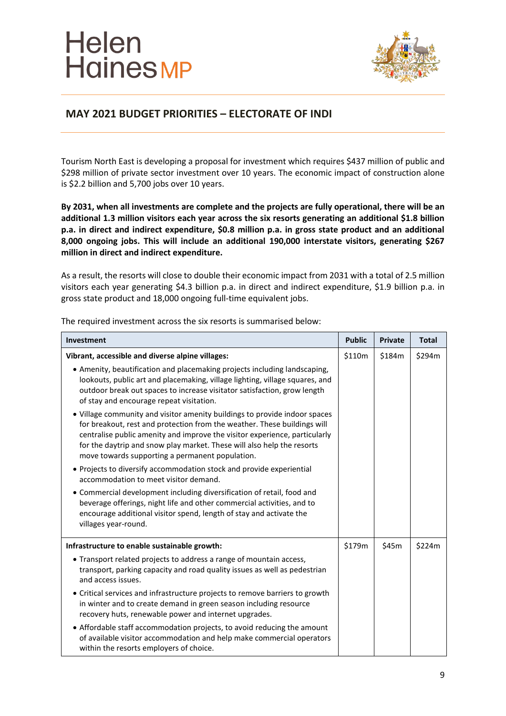

## **MAY 2021 BUDGET PRIORITIES – ELECTORATE OF INDI**

Tourism North East is developing a proposal for investment which requires \$437 million of public and \$298 million of private sector investment over 10 years. The economic impact of construction alone is \$2.2 billion and 5,700 jobs over 10 years.

**By 2031, when all investments are complete and the projects are fully operational, there will be an additional 1.3 million visitors each year across the six resorts generating an additional \$1.8 billion p.a. in direct and indirect expenditure, \$0.8 million p.a. in gross state product and an additional 8,000 ongoing jobs. This will include an additional 190,000 interstate visitors, generating \$267 million in direct and indirect expenditure.**

As a result, the resorts will close to double their economic impact from 2031 with a total of 2.5 million visitors each year generating \$4.3 billion p.a. in direct and indirect expenditure, \$1.9 billion p.a. in gross state product and 18,000 ongoing full-time equivalent jobs.

| Investment                                                                                                                                                                                                                                                                                                                                                        | <b>Public</b> | <b>Private</b> | <b>Total</b> |
|-------------------------------------------------------------------------------------------------------------------------------------------------------------------------------------------------------------------------------------------------------------------------------------------------------------------------------------------------------------------|---------------|----------------|--------------|
| Vibrant, accessible and diverse alpine villages:                                                                                                                                                                                                                                                                                                                  | \$110m        | \$184m         | \$294m       |
| • Amenity, beautification and placemaking projects including landscaping,<br>lookouts, public art and placemaking, village lighting, village squares, and<br>outdoor break out spaces to increase visitator satisfaction, grow length<br>of stay and encourage repeat visitation.                                                                                 |               |                |              |
| • Village community and visitor amenity buildings to provide indoor spaces<br>for breakout, rest and protection from the weather. These buildings will<br>centralise public amenity and improve the visitor experience, particularly<br>for the daytrip and snow play market. These will also help the resorts<br>move towards supporting a permanent population. |               |                |              |
| • Projects to diversify accommodation stock and provide experiential<br>accommodation to meet visitor demand.                                                                                                                                                                                                                                                     |               |                |              |
| • Commercial development including diversification of retail, food and<br>beverage offerings, night life and other commercial activities, and to<br>encourage additional visitor spend, length of stay and activate the<br>villages year-round.                                                                                                                   |               |                |              |
| Infrastructure to enable sustainable growth:                                                                                                                                                                                                                                                                                                                      | \$179m        | \$45m          | \$224m       |
| • Transport related projects to address a range of mountain access,<br>transport, parking capacity and road quality issues as well as pedestrian<br>and access issues.                                                                                                                                                                                            |               |                |              |
| • Critical services and infrastructure projects to remove barriers to growth<br>in winter and to create demand in green season including resource<br>recovery huts, renewable power and internet upgrades.                                                                                                                                                        |               |                |              |
| • Affordable staff accommodation projects, to avoid reducing the amount<br>of available visitor accommodation and help make commercial operators<br>within the resorts employers of choice.                                                                                                                                                                       |               |                |              |

The required investment across the six resorts is summarised below: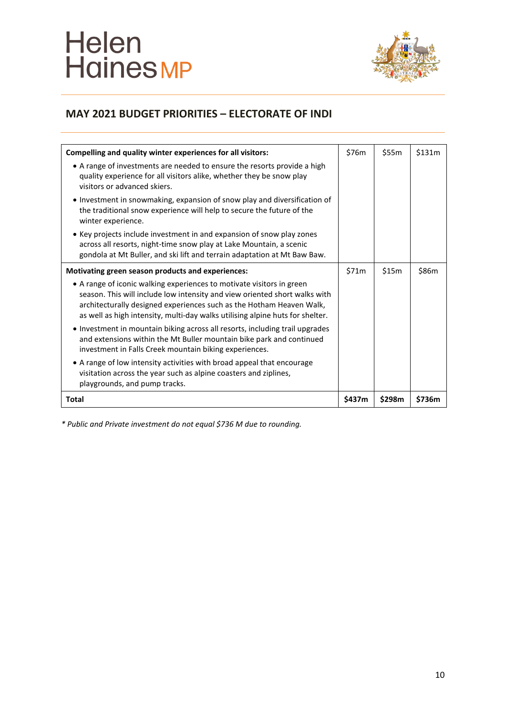# Helen<br>Haines MP



# **MAY 2021 BUDGET PRIORITIES – ELECTORATE OF INDI**

| Compelling and quality winter experiences for all visitors:                                                                                                                                                                                                                                                  | \$76m  | \$55m  | \$131m |
|--------------------------------------------------------------------------------------------------------------------------------------------------------------------------------------------------------------------------------------------------------------------------------------------------------------|--------|--------|--------|
| • A range of investments are needed to ensure the resorts provide a high<br>quality experience for all visitors alike, whether they be snow play<br>visitors or advanced skiers.                                                                                                                             |        |        |        |
| • Investment in snowmaking, expansion of snow play and diversification of<br>the traditional snow experience will help to secure the future of the<br>winter experience.                                                                                                                                     |        |        |        |
| • Key projects include investment in and expansion of snow play zones<br>across all resorts, night-time snow play at Lake Mountain, a scenic<br>gondola at Mt Buller, and ski lift and terrain adaptation at Mt Baw Baw.                                                                                     |        |        |        |
| Motivating green season products and experiences:                                                                                                                                                                                                                                                            |        | \$15m  | \$86m  |
| • A range of iconic walking experiences to motivate visitors in green<br>season. This will include low intensity and view oriented short walks with<br>architecturally designed experiences such as the Hotham Heaven Walk,<br>as well as high intensity, multi-day walks utilising alpine huts for shelter. |        |        |        |
| • Investment in mountain biking across all resorts, including trail upgrades<br>and extensions within the Mt Buller mountain bike park and continued<br>investment in Falls Creek mountain biking experiences.                                                                                               |        |        |        |
| • A range of low intensity activities with broad appeal that encourage<br>visitation across the year such as alpine coasters and ziplines,<br>playgrounds, and pump tracks.                                                                                                                                  |        |        |        |
| Total                                                                                                                                                                                                                                                                                                        | \$437m | \$298m | \$736m |

*\* Public and Private investment do not equal \$736 M due to rounding.*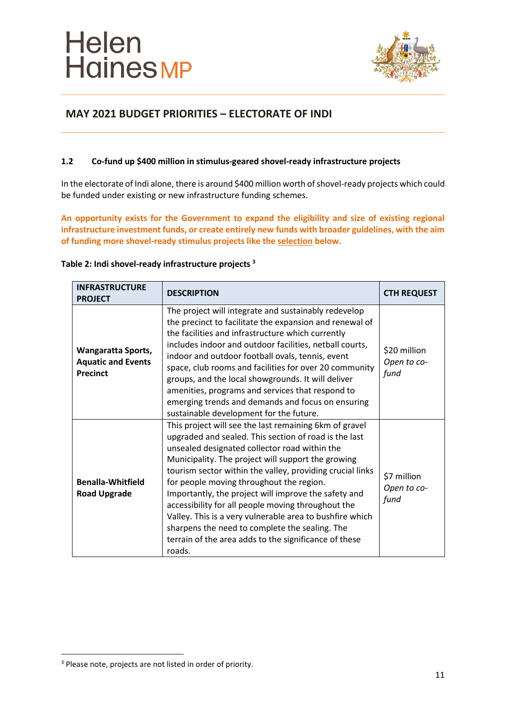

# **MAY 2021 BUDGET PRIORITIES – ELECTORATE OF INDI**

#### **1.2 Co-fund up \$400 million in stimulus-geared shovel-ready infrastructure projects**

In the electorate of Indi alone, there is around \$400 million worth of shovel-ready projects which could be funded under existing or new infrastructure funding schemes.

**An opportunity exists for the Government to expand the eligibility and size of existing regional infrastructure investment funds, or create entirely new funds with broader guidelines, with the aim of funding more shovel-ready stimulus projects like the selection below.** 

| <b>INFRASTRUCTURE</b><br><b>PROJECT</b>                                   | <b>DESCRIPTION</b>                                                                                                                                                                                                                                                                                                                                                                                                                                                                                                                                                                                                             | <b>CTH REQUEST</b>                  |
|---------------------------------------------------------------------------|--------------------------------------------------------------------------------------------------------------------------------------------------------------------------------------------------------------------------------------------------------------------------------------------------------------------------------------------------------------------------------------------------------------------------------------------------------------------------------------------------------------------------------------------------------------------------------------------------------------------------------|-------------------------------------|
| <b>Wangaratta Sports,</b><br><b>Aquatic and Events</b><br><b>Precinct</b> | The project will integrate and sustainably redevelop<br>the precinct to facilitate the expansion and renewal of<br>the facilities and infrastructure which currently<br>includes indoor and outdoor facilities, netball courts,<br>indoor and outdoor football ovals, tennis, event<br>space, club rooms and facilities for over 20 community<br>groups, and the local showgrounds. It will deliver<br>amenities, programs and services that respond to<br>emerging trends and demands and focus on ensuring<br>sustainable development for the future.                                                                        | \$20 million<br>Open to co-<br>fund |
| <b>Benalla-Whitfield</b><br><b>Road Upgrade</b>                           | This project will see the last remaining 6km of gravel<br>upgraded and sealed. This section of road is the last<br>unsealed designated collector road within the<br>Municipality. The project will support the growing<br>tourism sector within the valley, providing crucial links<br>for people moving throughout the region.<br>Importantly, the project will improve the safety and<br>accessibility for all people moving throughout the<br>Valley. This is a very vulnerable area to bushfire which<br>sharpens the need to complete the sealing. The<br>terrain of the area adds to the significance of these<br>roads. | \$7 million<br>Open to co-<br>fund  |

#### **Table 2: Indi shovel-ready infrastructure projects <sup>3</sup>**

<sup>&</sup>lt;sup>3</sup> Please note, projects are not listed in order of priority.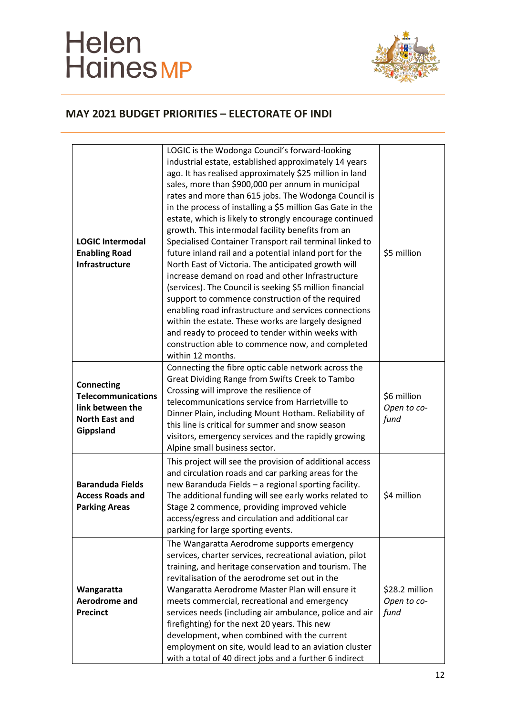# Helen<br>Haines MP



| <b>LOGIC Intermodal</b><br><b>Enabling Road</b><br>Infrastructure                                        | LOGIC is the Wodonga Council's forward-looking<br>industrial estate, established approximately 14 years<br>ago. It has realised approximately \$25 million in land<br>sales, more than \$900,000 per annum in municipal<br>rates and more than 615 jobs. The Wodonga Council is<br>in the process of installing a \$5 million Gas Gate in the<br>estate, which is likely to strongly encourage continued<br>growth. This intermodal facility benefits from an<br>Specialised Container Transport rail terminal linked to<br>future inland rail and a potential inland port for the<br>North East of Victoria. The anticipated growth will<br>increase demand on road and other Infrastructure<br>(services). The Council is seeking \$5 million financial<br>support to commence construction of the required<br>enabling road infrastructure and services connections<br>within the estate. These works are largely designed<br>and ready to proceed to tender within weeks with<br>construction able to commence now, and completed<br>within 12 months. | \$5 million                           |
|----------------------------------------------------------------------------------------------------------|------------------------------------------------------------------------------------------------------------------------------------------------------------------------------------------------------------------------------------------------------------------------------------------------------------------------------------------------------------------------------------------------------------------------------------------------------------------------------------------------------------------------------------------------------------------------------------------------------------------------------------------------------------------------------------------------------------------------------------------------------------------------------------------------------------------------------------------------------------------------------------------------------------------------------------------------------------------------------------------------------------------------------------------------------------|---------------------------------------|
| <b>Connecting</b><br><b>Telecommunications</b><br>link between the<br><b>North East and</b><br>Gippsland | Connecting the fibre optic cable network across the<br>Great Dividing Range from Swifts Creek to Tambo<br>Crossing will improve the resilience of<br>telecommunications service from Harrietville to<br>Dinner Plain, including Mount Hotham. Reliability of<br>this line is critical for summer and snow season<br>visitors, emergency services and the rapidly growing<br>Alpine small business sector.                                                                                                                                                                                                                                                                                                                                                                                                                                                                                                                                                                                                                                                  | \$6 million<br>Open to co-<br>fund    |
| <b>Baranduda Fields</b><br><b>Access Roads and</b><br><b>Parking Areas</b>                               | This project will see the provision of additional access<br>and circulation roads and car parking areas for the<br>new Baranduda Fields - a regional sporting facility.<br>The additional funding will see early works related to<br>Stage 2 commence, providing improved vehicle<br>access/egress and circulation and additional car<br>parking for large sporting events.                                                                                                                                                                                                                                                                                                                                                                                                                                                                                                                                                                                                                                                                                | \$4 million                           |
| Wangaratta<br>Aerodrome and<br><b>Precinct</b>                                                           | The Wangaratta Aerodrome supports emergency<br>services, charter services, recreational aviation, pilot<br>training, and heritage conservation and tourism. The<br>revitalisation of the aerodrome set out in the<br>Wangaratta Aerodrome Master Plan will ensure it<br>meets commercial, recreational and emergency<br>services needs (including air ambulance, police and air<br>firefighting) for the next 20 years. This new<br>development, when combined with the current<br>employment on site, would lead to an aviation cluster<br>with a total of 40 direct jobs and a further 6 indirect                                                                                                                                                                                                                                                                                                                                                                                                                                                        | \$28.2 million<br>Open to co-<br>fund |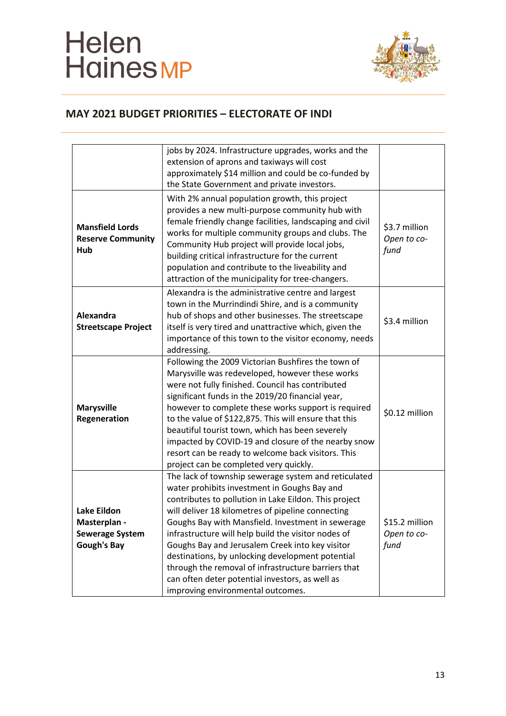# Helen<br>Haines MP



|                                                                                    | jobs by 2024. Infrastructure upgrades, works and the<br>extension of aprons and taxiways will cost<br>approximately \$14 million and could be co-funded by<br>the State Government and private investors.                                                                                                                                                                                                                                                                                                                                                                            |                                       |
|------------------------------------------------------------------------------------|--------------------------------------------------------------------------------------------------------------------------------------------------------------------------------------------------------------------------------------------------------------------------------------------------------------------------------------------------------------------------------------------------------------------------------------------------------------------------------------------------------------------------------------------------------------------------------------|---------------------------------------|
| <b>Mansfield Lords</b><br><b>Reserve Community</b><br>Hub                          | With 2% annual population growth, this project<br>provides a new multi-purpose community hub with<br>female friendly change facilities, landscaping and civil<br>works for multiple community groups and clubs. The<br>Community Hub project will provide local jobs,<br>building critical infrastructure for the current<br>population and contribute to the liveability and<br>attraction of the municipality for tree-changers.                                                                                                                                                   | \$3.7 million<br>Open to co-<br>fund  |
| Alexandra<br><b>Streetscape Project</b>                                            | Alexandra is the administrative centre and largest<br>town in the Murrindindi Shire, and is a community<br>hub of shops and other businesses. The streetscape<br>itself is very tired and unattractive which, given the<br>importance of this town to the visitor economy, needs<br>addressing.                                                                                                                                                                                                                                                                                      | \$3.4 million                         |
| <b>Marysville</b><br>Regeneration                                                  | Following the 2009 Victorian Bushfires the town of<br>Marysville was redeveloped, however these works<br>were not fully finished. Council has contributed<br>significant funds in the 2019/20 financial year,<br>however to complete these works support is required<br>to the value of \$122,875. This will ensure that this<br>beautiful tourist town, which has been severely<br>impacted by COVID-19 and closure of the nearby snow<br>resort can be ready to welcome back visitors. This<br>project can be completed very quickly.                                              | \$0.12 million                        |
| <b>Lake Eildon</b><br>Masterplan -<br><b>Sewerage System</b><br><b>Gough's Bay</b> | The lack of township sewerage system and reticulated<br>water prohibits investment in Goughs Bay and<br>contributes to pollution in Lake Eildon. This project<br>will deliver 18 kilometres of pipeline connecting<br>Goughs Bay with Mansfield. Investment in sewerage<br>infrastructure will help build the visitor nodes of<br>Goughs Bay and Jerusalem Creek into key visitor<br>destinations, by unlocking development potential<br>through the removal of infrastructure barriers that<br>can often deter potential investors, as well as<br>improving environmental outcomes. | \$15.2 million<br>Open to co-<br>fund |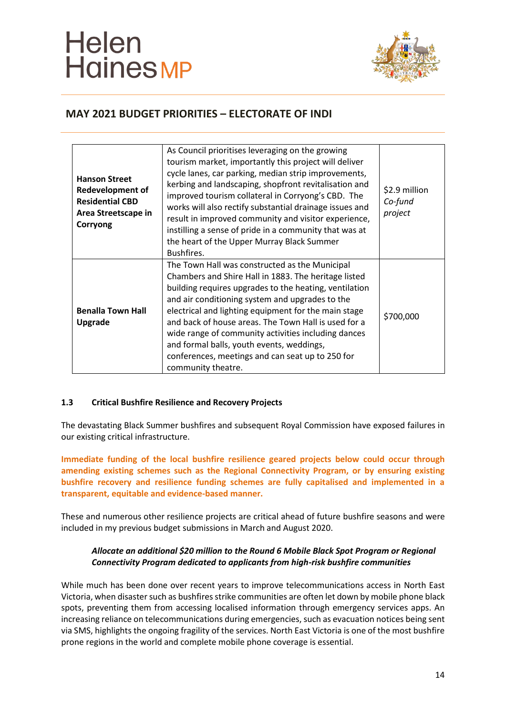

# **MAY 2021 BUDGET PRIORITIES – ELECTORATE OF INDI**

| <b>Hanson Street</b><br><b>Redevelopment of</b><br><b>Residential CBD</b><br>Area Streetscape in<br>Corryong | As Council prioritises leveraging on the growing<br>tourism market, importantly this project will deliver<br>cycle lanes, car parking, median strip improvements,<br>kerbing and landscaping, shopfront revitalisation and<br>improved tourism collateral in Corryong's CBD. The<br>works will also rectify substantial drainage issues and<br>result in improved community and visitor experience,<br>instilling a sense of pride in a community that was at<br>the heart of the Upper Murray Black Summer<br>Bushfires. | \$2.9 million<br>Co-fund<br>project |
|--------------------------------------------------------------------------------------------------------------|---------------------------------------------------------------------------------------------------------------------------------------------------------------------------------------------------------------------------------------------------------------------------------------------------------------------------------------------------------------------------------------------------------------------------------------------------------------------------------------------------------------------------|-------------------------------------|
| <b>Benalla Town Hall</b><br>Upgrade                                                                          | The Town Hall was constructed as the Municipal<br>Chambers and Shire Hall in 1883. The heritage listed<br>building requires upgrades to the heating, ventilation<br>and air conditioning system and upgrades to the<br>electrical and lighting equipment for the main stage<br>and back of house areas. The Town Hall is used for a<br>wide range of community activities including dances<br>and formal balls, youth events, weddings,<br>conferences, meetings and can seat up to 250 for<br>community theatre.         | \$700,000                           |

#### **1.3 Critical Bushfire Resilience and Recovery Projects**

The devastating Black Summer bushfires and subsequent Royal Commission have exposed failures in our existing critical infrastructure.

**Immediate funding of the local bushfire resilience geared projects below could occur through amending existing schemes such as the Regional Connectivity Program, or by ensuring existing bushfire recovery and resilience funding schemes are fully capitalised and implemented in a transparent, equitable and evidence-based manner.**

These and numerous other resilience projects are critical ahead of future bushfire seasons and were included in my previous budget submissions in March and August 2020.

#### *Allocate an additional \$20 million to the Round 6 Mobile Black Spot Program or Regional Connectivity Program dedicated to applicants from high-risk bushfire communities*

While much has been done over recent years to improve telecommunications access in North East Victoria, when disaster such as bushfires strike communities are often let down by mobile phone black spots, preventing them from accessing localised information through emergency services apps. An increasing reliance on telecommunications during emergencies, such as evacuation notices being sent via SMS, highlights the ongoing fragility of the services. North East Victoria is one of the most bushfire prone regions in the world and complete mobile phone coverage is essential.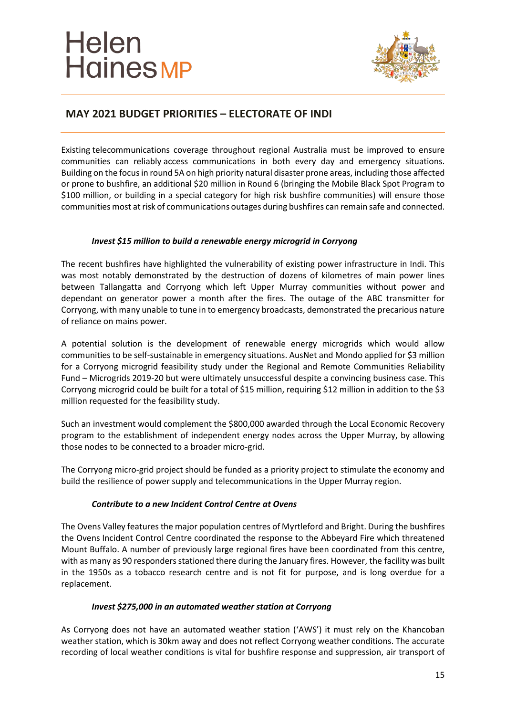

# **MAY 2021 BUDGET PRIORITIES – ELECTORATE OF INDI**

Existing telecommunications coverage throughout regional Australia must be improved to ensure communities can reliably access communications in both every day and emergency situations. Building on the focus in round 5A on high priority natural disaster prone areas, including those affected or prone to bushfire, an additional \$20 million in Round 6 (bringing the Mobile Black Spot Program to \$100 million, or building in a special category for high risk bushfire communities) will ensure those communities most at risk of communications outages during bushfires can remain safe and connected.

#### *Invest \$15 million to build a renewable energy microgrid in Corryong*

The recent bushfires have highlighted the vulnerability of existing power infrastructure in Indi. This was most notably demonstrated by the destruction of dozens of kilometres of main power lines between Tallangatta and Corryong which left Upper Murray communities without power and dependant on generator power a month after the fires. The outage of the ABC transmitter for Corryong, with many unable to tune in to emergency broadcasts, demonstrated the precarious nature of reliance on mains power.

A potential solution is the development of renewable energy microgrids which would allow communities to be self-sustainable in emergency situations. AusNet and Mondo applied for \$3 million for a Corryong microgrid feasibility study under the Regional and Remote Communities Reliability Fund – Microgrids 2019-20 but were ultimately unsuccessful despite a convincing business case. This Corryong microgrid could be built for a total of \$15 million, requiring \$12 million in addition to the \$3 million requested for the feasibility study.

Such an investment would complement the \$800,000 awarded through the Local Economic Recovery program to the establishment of independent energy nodes across the Upper Murray, by allowing those nodes to be connected to a broader micro-grid.

The Corryong micro-grid project should be funded as a priority project to stimulate the economy and build the resilience of power supply and telecommunications in the Upper Murray region.

#### *Contribute to a new Incident Control Centre at Ovens*

The Ovens Valley features the major population centres of Myrtleford and Bright. During the bushfires the Ovens Incident Control Centre coordinated the response to the Abbeyard Fire which threatened Mount Buffalo. A number of previously large regional fires have been coordinated from this centre, with as many as 90 responders stationed there during the January fires. However, the facility was built in the 1950s as a tobacco research centre and is not fit for purpose, and is long overdue for a replacement.

#### *Invest \$275,000 in an automated weather station at Corryong*

As Corryong does not have an automated weather station ('AWS') it must rely on the Khancoban weather station, which is 30km away and does not reflect Corryong weather conditions. The accurate recording of local weather conditions is vital for bushfire response and suppression, air transport of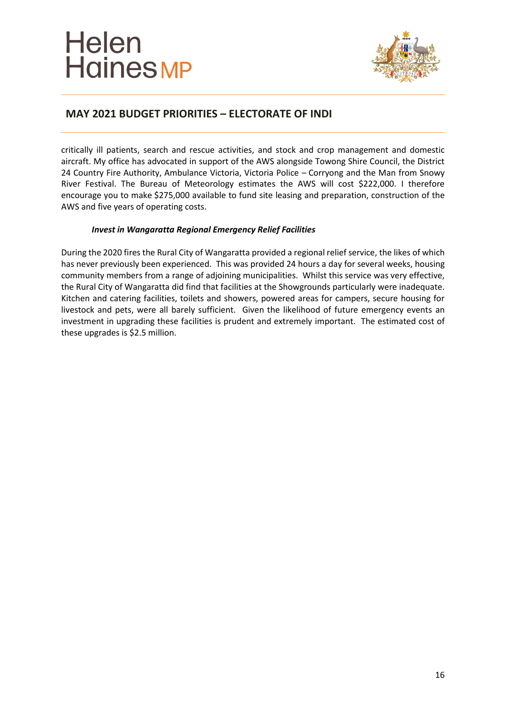

# **MAY 2021 BUDGET PRIORITIES – ELECTORATE OF INDI**

critically ill patients, search and rescue activities, and stock and crop management and domestic aircraft. My office has advocated in support of the AWS alongside Towong Shire Council, the District 24 Country Fire Authority, Ambulance Victoria, Victoria Police – Corryong and the Man from Snowy River Festival. The Bureau of Meteorology estimates the AWS will cost \$222,000. I therefore encourage you to make \$275,000 available to fund site leasing and preparation, construction of the AWS and five years of operating costs.

#### *Invest in Wangaratta Regional Emergency Relief Facilities*

During the 2020 fires the Rural City of Wangaratta provided a regional relief service, the likes of which has never previously been experienced. This was provided 24 hours a day for several weeks, housing community members from a range of adjoining municipalities. Whilst this service was very effective, the Rural City of Wangaratta did find that facilities at the Showgrounds particularly were inadequate. Kitchen and catering facilities, toilets and showers, powered areas for campers, secure housing for livestock and pets, were all barely sufficient. Given the likelihood of future emergency events an investment in upgrading these facilities is prudent and extremely important. The estimated cost of these upgrades is \$2.5 million.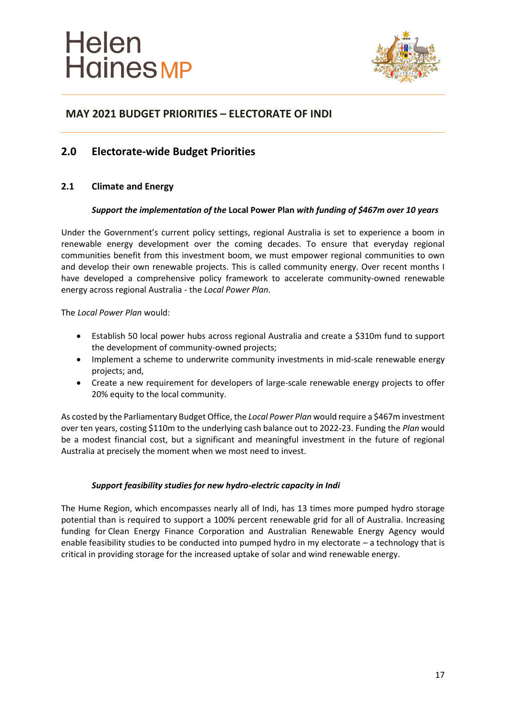

### **2.0 Electorate-wide Budget Priorities**

#### **2.1 Climate and Energy**

#### *Support the implementation of the* **Local Power Plan** *with funding of \$467m over 10 years*

Under the Government's current policy settings, regional Australia is set to experience a boom in renewable energy development over the coming decades. To ensure that everyday regional communities benefit from this investment boom, we must empower regional communities to own and develop their own renewable projects. This is called community energy. Over recent months I have developed a comprehensive policy framework to accelerate community-owned renewable energy across regional Australia - the *Local Power Plan*.

The *Local Power Plan* would:

- Establish 50 local power hubs across regional Australia and create a \$310m fund to support the development of community-owned projects;
- Implement a scheme to underwrite community investments in mid-scale renewable energy projects; and,
- Create a new requirement for developers of large-scale renewable energy projects to offer 20% equity to the local community.

As costed by the Parliamentary Budget Office, the *Local Power Plan* would require a \$467m investment over ten years, costing \$110m to the underlying cash balance out to 2022-23. Funding the *Plan* would be a modest financial cost, but a significant and meaningful investment in the future of regional Australia at precisely the moment when we most need to invest.

#### *Support feasibility studies for new hydro-electric capacity in Indi*

The Hume Region, which encompasses nearly all of Indi, has 13 times more pumped hydro storage potential than is required to support a 100% percent renewable grid for all of Australia. Increasing funding for Clean Energy Finance Corporation and Australian Renewable Energy Agency would enable feasibility studies to be conducted into pumped hydro in my electorate – a technology that is critical in providing storage for the increased uptake of solar and wind renewable energy.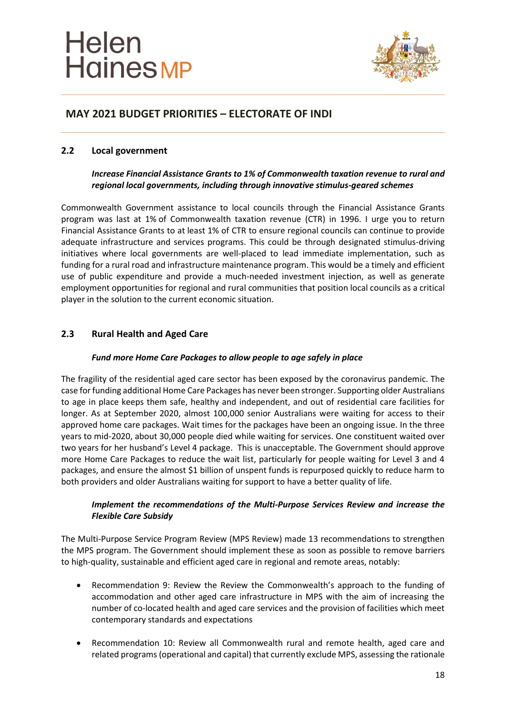

#### **2.2 Local government**

#### *Increase Financial Assistance Grants to 1% of Commonwealth taxation revenue to rural and regional local governments, including through innovative stimulus-geared schemes*

Commonwealth Government assistance to local councils through the Financial Assistance Grants program was last at 1% of Commonwealth taxation revenue (CTR) in 1996. I urge you to return Financial Assistance Grants to at least 1% of CTR to ensure regional councils can continue to provide adequate infrastructure and services programs. This could be through designated stimulus-driving initiatives where local governments are well-placed to lead immediate implementation, such as funding for a rural road and infrastructure maintenance program. This would be a timely and efficient use of public expenditure and provide a much-needed investment injection, as well as generate employment opportunities for regional and rural communities that position local councils as a critical player in the solution to the current economic situation.

#### **2.3 Rural Health and Aged Care**

#### *Fund more Home Care Packages to allow people to age safely in place*

The fragility of the residential aged care sector has been exposed by the coronavirus pandemic. The case for funding additional Home Care Packages has never been stronger. Supporting older Australians to age in place keeps them safe, healthy and independent, and out of residential care facilities for longer. As at September 2020, almost 100,000 senior Australians were waiting for access to their approved home care packages. Wait times for the packages have been an ongoing issue. In the three years to mid-2020, about 30,000 people died while waiting for services. One constituent waited over two years for her husband's Level 4 package. This is unacceptable. The Government should approve more Home Care Packages to reduce the wait list, particularly for people waiting for Level 3 and 4 packages, and ensure the almost \$1 billion of unspent funds is repurposed quickly to reduce harm to both providers and older Australians waiting for support to have a better quality of life.

#### *Implement the recommendations of the Multi-Purpose Services Review and increase the Flexible Care Subsidy*

The Multi-Purpose Service Program Review (MPS Review) made 13 recommendations to strengthen the MPS program. The Government should implement these as soon as possible to remove barriers to high-quality, sustainable and efficient aged care in regional and remote areas, notably:

- Recommendation 9: Review the Review the Commonwealth's approach to the funding of accommodation and other aged care infrastructure in MPS with the aim of increasing the number of co-located health and aged care services and the provision of facilities which meet contemporary standards and expectations
- Recommendation 10: Review all Commonwealth rural and remote health, aged care and related programs (operational and capital) that currently exclude MPS, assessing the rationale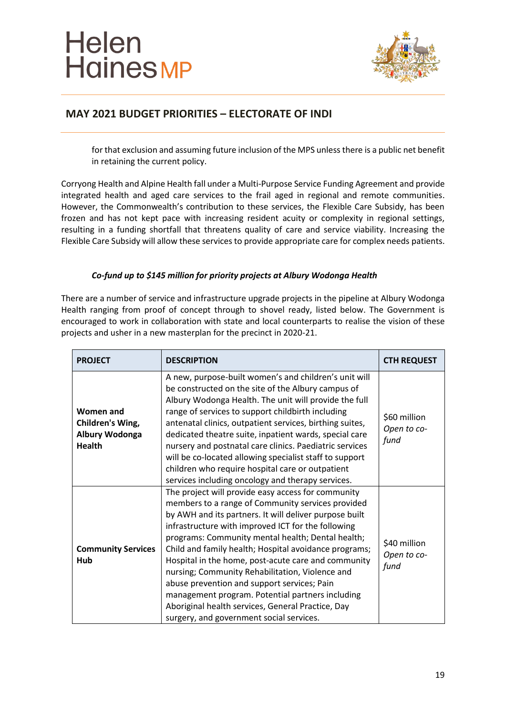

# **MAY 2021 BUDGET PRIORITIES – ELECTORATE OF INDI**

for that exclusion and assuming future inclusion of the MPS unless there is a public net benefit in retaining the current policy.

Corryong Health and Alpine Health fall under a Multi-Purpose Service Funding Agreement and provide integrated health and aged care services to the frail aged in regional and remote communities. However, the Commonwealth's contribution to these services, the Flexible Care Subsidy, has been frozen and has not kept pace with increasing resident acuity or complexity in regional settings, resulting in a funding shortfall that threatens quality of care and service viability. Increasing the Flexible Care Subsidy will allow these services to provide appropriate care for complex needs patients.

#### *Co-fund up to \$145 million for priority projects at Albury Wodonga Health*

There are a number of service and infrastructure upgrade projects in the pipeline at Albury Wodonga Health ranging from proof of concept through to shovel ready, listed below. The Government is encouraged to work in collaboration with state and local counterparts to realise the vision of these projects and usher in a new masterplan for the precinct in 2020-21.

| <b>PROJECT</b>                                                   | <b>DESCRIPTION</b>                                                                                                                                                                                                                                                                                                                                                                                                                                                                                                                                                                                                                                  | <b>CTH REQUEST</b>                  |
|------------------------------------------------------------------|-----------------------------------------------------------------------------------------------------------------------------------------------------------------------------------------------------------------------------------------------------------------------------------------------------------------------------------------------------------------------------------------------------------------------------------------------------------------------------------------------------------------------------------------------------------------------------------------------------------------------------------------------------|-------------------------------------|
| Women and<br>Children's Wing,<br>Albury Wodonga<br><b>Health</b> | A new, purpose-built women's and children's unit will<br>be constructed on the site of the Albury campus of<br>Albury Wodonga Health. The unit will provide the full<br>range of services to support childbirth including<br>antenatal clinics, outpatient services, birthing suites,<br>dedicated theatre suite, inpatient wards, special care<br>nursery and postnatal care clinics. Paediatric services<br>will be co-located allowing specialist staff to support<br>children who require hospital care or outpatient<br>services including oncology and therapy services.                                                                      | \$60 million<br>Open to co-<br>fund |
| <b>Community Services</b><br>Hub                                 | The project will provide easy access for community<br>members to a range of Community services provided<br>by AWH and its partners. It will deliver purpose built<br>infrastructure with improved ICT for the following<br>programs: Community mental health; Dental health;<br>Child and family health; Hospital avoidance programs;<br>Hospital in the home, post-acute care and community<br>nursing; Community Rehabilitation, Violence and<br>abuse prevention and support services; Pain<br>management program. Potential partners including<br>Aboriginal health services, General Practice, Day<br>surgery, and government social services. | \$40 million<br>Open to co-<br>fund |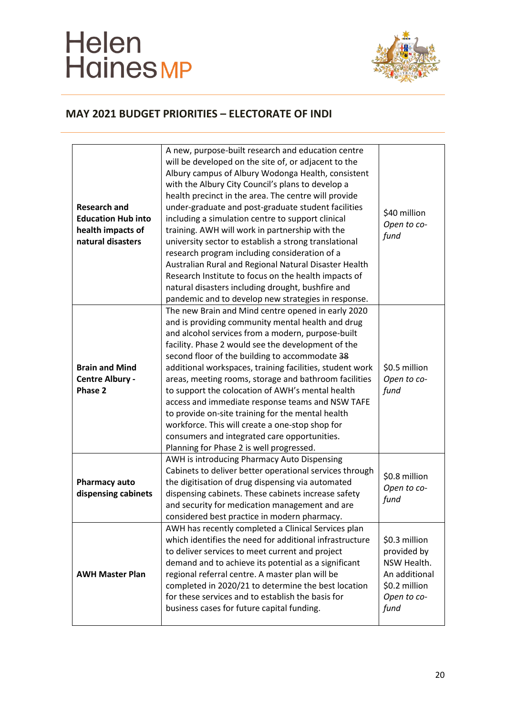# Helen<br>Haines MP



| <b>Research and</b><br><b>Education Hub into</b><br>health impacts of<br>natural disasters | A new, purpose-built research and education centre<br>will be developed on the site of, or adjacent to the<br>Albury campus of Albury Wodonga Health, consistent<br>with the Albury City Council's plans to develop a<br>health precinct in the area. The centre will provide<br>under-graduate and post-graduate student facilities<br>including a simulation centre to support clinical<br>training. AWH will work in partnership with the<br>university sector to establish a strong translational<br>research program including consideration of a<br>Australian Rural and Regional Natural Disaster Health<br>Research Institute to focus on the health impacts of<br>natural disasters including drought, bushfire and<br>pandemic and to develop new strategies in response. | \$40 million<br>Open to co-<br>fund                                                                  |
|--------------------------------------------------------------------------------------------|-------------------------------------------------------------------------------------------------------------------------------------------------------------------------------------------------------------------------------------------------------------------------------------------------------------------------------------------------------------------------------------------------------------------------------------------------------------------------------------------------------------------------------------------------------------------------------------------------------------------------------------------------------------------------------------------------------------------------------------------------------------------------------------|------------------------------------------------------------------------------------------------------|
| <b>Brain and Mind</b><br>Centre Albury -<br>Phase 2                                        | The new Brain and Mind centre opened in early 2020<br>and is providing community mental health and drug<br>and alcohol services from a modern, purpose-built<br>facility. Phase 2 would see the development of the<br>second floor of the building to accommodate 38<br>additional workspaces, training facilities, student work<br>areas, meeting rooms, storage and bathroom facilities<br>to support the colocation of AWH's mental health<br>access and immediate response teams and NSW TAFE<br>to provide on-site training for the mental health<br>workforce. This will create a one-stop shop for<br>consumers and integrated care opportunities.<br>Planning for Phase 2 is well progressed.                                                                               | \$0.5 million<br>Open to co-<br>fund                                                                 |
| <b>Pharmacy auto</b><br>dispensing cabinets                                                | AWH is introducing Pharmacy Auto Dispensing<br>Cabinets to deliver better operational services through<br>the digitisation of drug dispensing via automated<br>dispensing cabinets. These cabinets increase safety<br>and security for medication management and are<br>considered best practice in modern pharmacy.                                                                                                                                                                                                                                                                                                                                                                                                                                                                | \$0.8 million<br>Open to co-<br>fund                                                                 |
| <b>AWH Master Plan</b>                                                                     | AWH has recently completed a Clinical Services plan<br>which identifies the need for additional infrastructure<br>to deliver services to meet current and project<br>demand and to achieve its potential as a significant<br>regional referral centre. A master plan will be<br>completed in 2020/21 to determine the best location<br>for these services and to establish the basis for<br>business cases for future capital funding.                                                                                                                                                                                                                                                                                                                                              | \$0.3 million<br>provided by<br>NSW Health.<br>An additional<br>\$0.2 million<br>Open to co-<br>fund |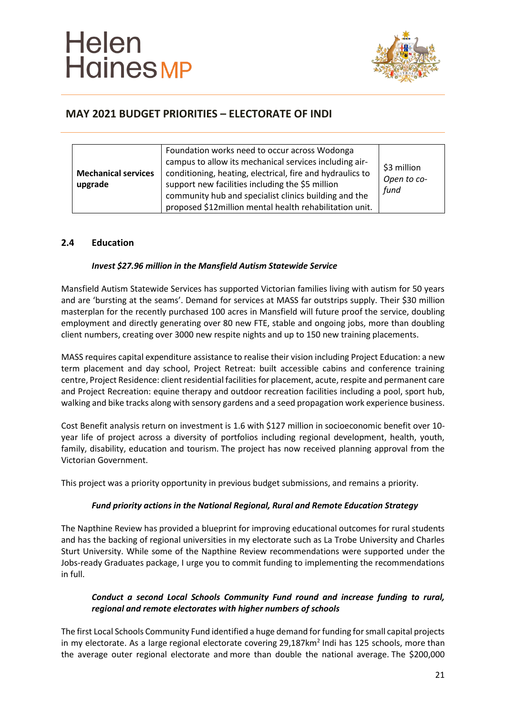

| <b>Mechanical services</b><br>upgrade | Foundation works need to occur across Wodonga<br>campus to allow its mechanical services including air-<br>conditioning, heating, electrical, fire and hydraulics to<br>support new facilities including the \$5 million<br>community hub and specialist clinics building and the<br>proposed \$12million mental health rehabilitation unit. | \$3 million<br>Open to co-<br>fund |
|---------------------------------------|----------------------------------------------------------------------------------------------------------------------------------------------------------------------------------------------------------------------------------------------------------------------------------------------------------------------------------------------|------------------------------------|
|---------------------------------------|----------------------------------------------------------------------------------------------------------------------------------------------------------------------------------------------------------------------------------------------------------------------------------------------------------------------------------------------|------------------------------------|

#### **2.4 Education**

#### *Invest \$27.96 million in the Mansfield Autism Statewide Service*

Mansfield Autism Statewide Services has supported Victorian families living with autism for 50 years and are 'bursting at the seams'. Demand for services at MASS far outstrips supply. Their \$30 million masterplan for the recently purchased 100 acres in Mansfield will future proof the service, doubling employment and directly generating over 80 new FTE, stable and ongoing jobs, more than doubling client numbers, creating over 3000 new respite nights and up to 150 new training placements.

MASS requires capital expenditure assistance to realise their vision including Project Education: a new term placement and day school, Project Retreat: built accessible cabins and conference training centre, Project Residence: client residential facilities for placement, acute, respite and permanent care and Project Recreation: equine therapy and outdoor recreation facilities including a pool, sport hub, walking and bike tracks along with sensory gardens and a seed propagation work experience business.

Cost Benefit analysis return on investment is 1.6 with \$127 million in socioeconomic benefit over 10 year life of project across a diversity of portfolios including regional development, health, youth, family, disability, education and tourism. The project has now received planning approval from the Victorian Government.

This project was a priority opportunity in previous budget submissions, and remains a priority.

#### *Fund priority actions in the National Regional, Rural and Remote Education Strategy*

The Napthine Review has provided a blueprint for improving educational outcomes for rural students and has the backing of regional universities in my electorate such as La Trobe University and Charles Sturt University. While some of the Napthine Review recommendations were supported under the Jobs-ready Graduates package, I urge you to commit funding to implementing the recommendations in full.

#### *Conduct a second Local Schools Community Fund round and increase funding to rural, regional and remote electorates with higher numbers of schools*

The first Local Schools Community Fund identified a huge demand for funding for small capital projects in my electorate. As a large regional electorate covering 29,187 $km^2$  Indi has 125 schools, more than the average outer regional electorate and more than double the national average. The \$200,000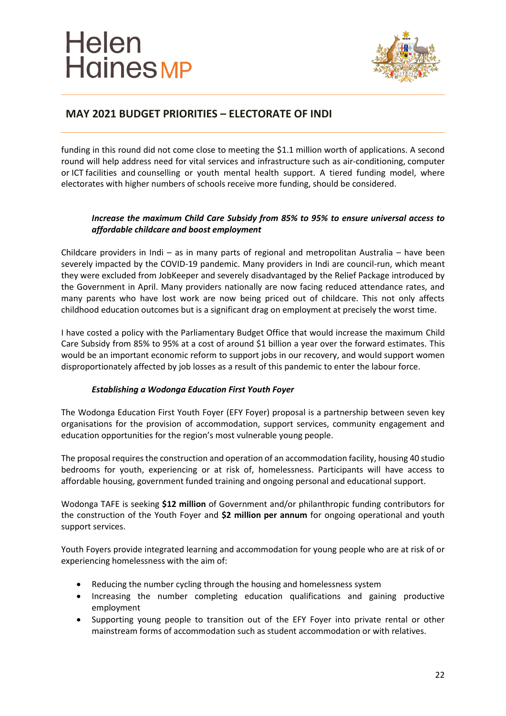

# **MAY 2021 BUDGET PRIORITIES – ELECTORATE OF INDI**

funding in this round did not come close to meeting the \$1.1 million worth of applications. A second round will help address need for vital services and infrastructure such as air-conditioning, computer or ICT facilities and counselling or youth mental health support. A tiered funding model, where electorates with higher numbers of schools receive more funding, should be considered.

#### *Increase the maximum Child Care Subsidy from 85% to 95% to ensure universal access to affordable childcare and boost employment*

Childcare providers in Indi – as in many parts of regional and metropolitan Australia – have been severely impacted by the COVID-19 pandemic. Many providers in Indi are council-run, which meant they were excluded from JobKeeper and severely disadvantaged by the Relief Package introduced by the Government in April. Many providers nationally are now facing reduced attendance rates, and many parents who have lost work are now being priced out of childcare. This not only affects childhood education outcomes but is a significant drag on employment at precisely the worst time.

I have costed a policy with the Parliamentary Budget Office that would increase the maximum Child Care Subsidy from 85% to 95% at a cost of around \$1 billion a year over the forward estimates. This would be an important economic reform to support jobs in our recovery, and would support women disproportionately affected by job losses as a result of this pandemic to enter the labour force.

#### *Establishing a Wodonga Education First Youth Foyer*

The Wodonga Education First Youth Foyer (EFY Foyer) proposal is a partnership between seven key organisations for the provision of accommodation, support services, community engagement and education opportunities for the region's most vulnerable young people.

The proposal requires the construction and operation of an accommodation facility, housing 40 studio bedrooms for youth, experiencing or at risk of, homelessness. Participants will have access to affordable housing, government funded training and ongoing personal and educational support.

Wodonga TAFE is seeking **\$12 million** of Government and/or philanthropic funding contributors for the construction of the Youth Foyer and **\$2 million per annum** for ongoing operational and youth support services.

Youth Foyers provide integrated learning and accommodation for young people who are at risk of or experiencing homelessness with the aim of:

- Reducing the number cycling through the housing and homelessness system
- Increasing the number completing education qualifications and gaining productive employment
- Supporting young people to transition out of the EFY Foyer into private rental or other mainstream forms of accommodation such as student accommodation or with relatives.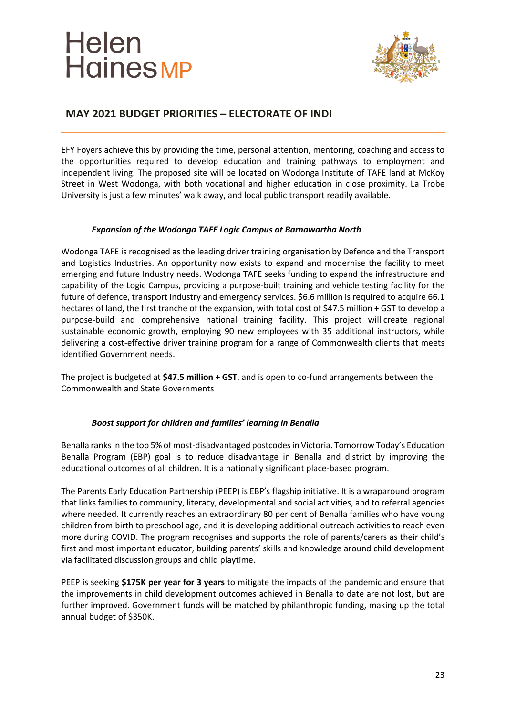

# **MAY 2021 BUDGET PRIORITIES – ELECTORATE OF INDI**

EFY Foyers achieve this by providing the time, personal attention, mentoring, coaching and access to the opportunities required to develop education and training pathways to employment and independent living. The proposed site will be located on Wodonga Institute of TAFE land at McKoy Street in West Wodonga, with both vocational and higher education in close proximity. La Trobe University is just a few minutes' walk away, and local public transport readily available.

#### *Expansion of the Wodonga TAFE Logic Campus at Barnawartha North*

Wodonga TAFE is recognised as the leading driver training organisation by Defence and the Transport and Logistics Industries. An opportunity now exists to expand and modernise the facility to meet emerging and future Industry needs. Wodonga TAFE seeks funding to expand the infrastructure and capability of the Logic Campus, providing a purpose-built training and vehicle testing facility for the future of defence, transport industry and emergency services. \$6.6 million is required to acquire 66.1 hectares of land, the first tranche of the expansion, with total cost of \$47.5 million + GST to develop a purpose-build and comprehensive national training facility. This project will create regional sustainable economic growth, employing 90 new employees with 35 additional instructors, while delivering a cost-effective driver training program for a range of Commonwealth clients that meets identified Government needs.

The project is budgeted at **\$47.5 million + GST**, and is open to co-fund arrangements between the Commonwealth and State Governments

#### *Boost support for children and families' learning in Benalla*

Benalla ranks in the top 5% of most-disadvantaged postcodes in Victoria. Tomorrow Today's Education Benalla Program (EBP) goal is to reduce disadvantage in Benalla and district by improving the educational outcomes of all children. It is a nationally significant place-based program.

The Parents Early Education Partnership (PEEP) is EBP's flagship initiative. It is a wraparound program that links families to community, literacy, developmental and social activities, and to referral agencies where needed. It currently reaches an extraordinary 80 per cent of Benalla families who have young children from birth to preschool age, and it is developing additional outreach activities to reach even more during COVID. The program recognises and supports the role of parents/carers as their child's first and most important educator, building parents' skills and knowledge around child development via facilitated discussion groups and child playtime.

PEEP is seeking **\$175K per year for 3 years** to mitigate the impacts of the pandemic and ensure that the improvements in child development outcomes achieved in Benalla to date are not lost, but are further improved. Government funds will be matched by philanthropic funding, making up the total annual budget of \$350K.